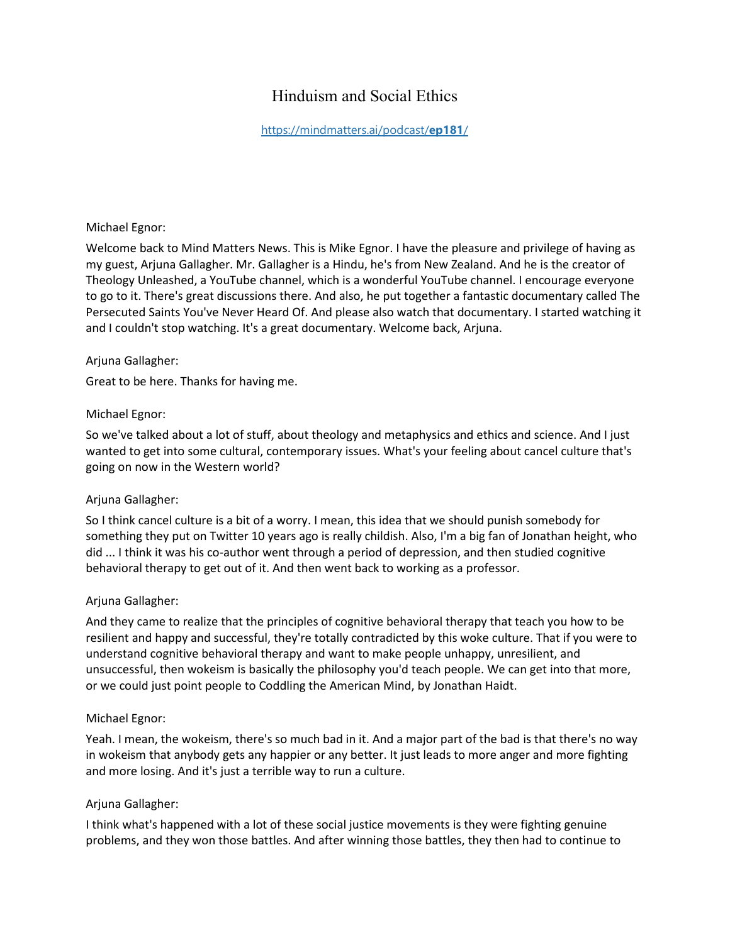# Hinduism and Social Ethics

# [https://mindmatters.ai/podcast/](https://mindmatters.ai/podcast/ep181/)**ep181**/

#### Michael Egnor:

Welcome back to Mind Matters News. This is Mike Egnor. I have the pleasure and privilege of having as my guest, Arjuna Gallagher. Mr. Gallagher is a Hindu, he's from New Zealand. And he is the creator of Theology Unleashed, a YouTube channel, which is a wonderful YouTube channel. I encourage everyone to go to it. There's great discussions there. And also, he put together a fantastic documentary called The Persecuted Saints You've Never Heard Of. And please also watch that documentary. I started watching it and I couldn't stop watching. It's a great documentary. Welcome back, Arjuna.

### Arjuna Gallagher:

Great to be here. Thanks for having me.

#### Michael Egnor:

So we've talked about a lot of stuff, about theology and metaphysics and ethics and science. And I just wanted to get into some cultural, contemporary issues. What's your feeling about cancel culture that's going on now in the Western world?

### Arjuna Gallagher:

So I think cancel culture is a bit of a worry. I mean, this idea that we should punish somebody for something they put on Twitter 10 years ago is really childish. Also, I'm a big fan of Jonathan height, who did ... I think it was his co-author went through a period of depression, and then studied cognitive behavioral therapy to get out of it. And then went back to working as a professor.

#### Arjuna Gallagher:

And they came to realize that the principles of cognitive behavioral therapy that teach you how to be resilient and happy and successful, they're totally contradicted by this woke culture. That if you were to understand cognitive behavioral therapy and want to make people unhappy, unresilient, and unsuccessful, then wokeism is basically the philosophy you'd teach people. We can get into that more, or we could just point people to Coddling the American Mind, by Jonathan Haidt.

#### Michael Egnor:

Yeah. I mean, the wokeism, there's so much bad in it. And a major part of the bad is that there's no way in wokeism that anybody gets any happier or any better. It just leads to more anger and more fighting and more losing. And it's just a terrible way to run a culture.

### Arjuna Gallagher:

I think what's happened with a lot of these social justice movements is they were fighting genuine problems, and they won those battles. And after winning those battles, they then had to continue to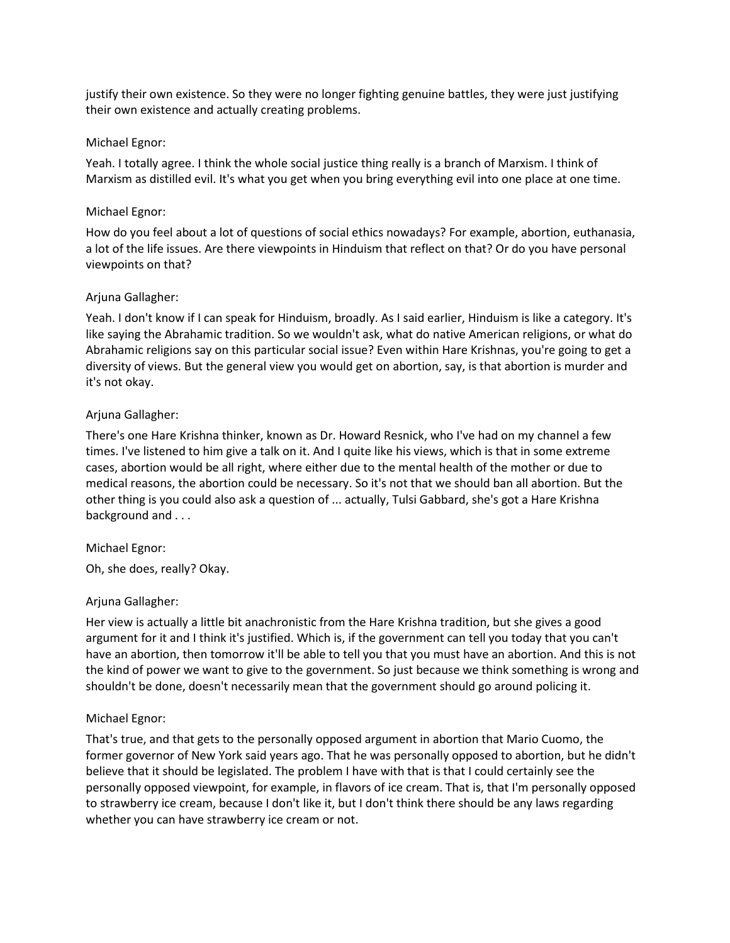justify their own existence. So they were no longer fighting genuine battles, they were just justifying their own existence and actually creating problems.

### Michael Egnor:

Yeah. I totally agree. I think the whole social justice thing really is a branch of Marxism. I think of Marxism as distilled evil. It's what you get when you bring everything evil into one place at one time.

### Michael Egnor:

How do you feel about a lot of questions of social ethics nowadays? For example, abortion, euthanasia, a lot of the life issues. Are there viewpoints in Hinduism that reflect on that? Or do you have personal viewpoints on that?

### Arjuna Gallagher:

Yeah. I don't know if I can speak for Hinduism, broadly. As I said earlier, Hinduism is like a category. It's like saying the Abrahamic tradition. So we wouldn't ask, what do native American religions, or what do Abrahamic religions say on this particular social issue? Even within Hare Krishnas, you're going to get a diversity of views. But the general view you would get on abortion, say, is that abortion is murder and it's not okay.

# Arjuna Gallagher:

There's one Hare Krishna thinker, known as Dr. Howard Resnick, who I've had on my channel a few times. I've listened to him give a talk on it. And I quite like his views, which is that in some extreme cases, abortion would be all right, where either due to the mental health of the mother or due to medical reasons, the abortion could be necessary. So it's not that we should ban all abortion. But the other thing is you could also ask a question of ... actually, Tulsi Gabbard, she's got a Hare Krishna background and . . .

### Michael Egnor:

Oh, she does, really? Okay.

### Arjuna Gallagher:

Her view is actually a little bit anachronistic from the Hare Krishna tradition, but she gives a good argument for it and I think it's justified. Which is, if the government can tell you today that you can't have an abortion, then tomorrow it'll be able to tell you that you must have an abortion. And this is not the kind of power we want to give to the government. So just because we think something is wrong and shouldn't be done, doesn't necessarily mean that the government should go around policing it.

### Michael Egnor:

That's true, and that gets to the personally opposed argument in abortion that Mario Cuomo, the former governor of New York said years ago. That he was personally opposed to abortion, but he didn't believe that it should be legislated. The problem I have with that is that I could certainly see the personally opposed viewpoint, for example, in flavors of ice cream. That is, that I'm personally opposed to strawberry ice cream, because I don't like it, but I don't think there should be any laws regarding whether you can have strawberry ice cream or not.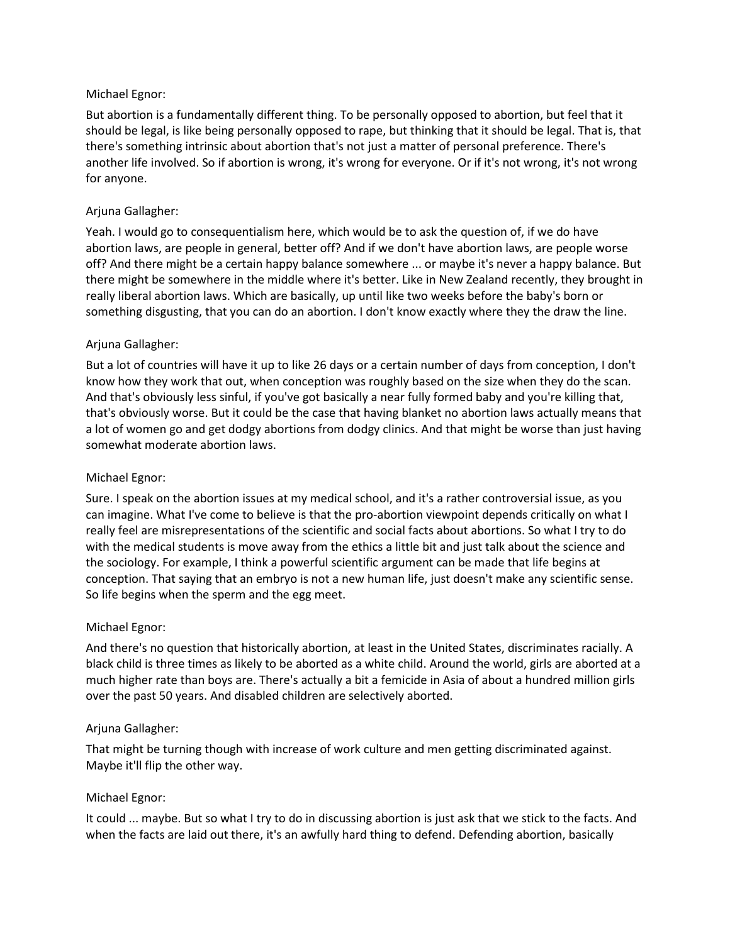### Michael Egnor:

But abortion is a fundamentally different thing. To be personally opposed to abortion, but feel that it should be legal, is like being personally opposed to rape, but thinking that it should be legal. That is, that there's something intrinsic about abortion that's not just a matter of personal preference. There's another life involved. So if abortion is wrong, it's wrong for everyone. Or if it's not wrong, it's not wrong for anyone.

#### Arjuna Gallagher:

Yeah. I would go to consequentialism here, which would be to ask the question of, if we do have abortion laws, are people in general, better off? And if we don't have abortion laws, are people worse off? And there might be a certain happy balance somewhere ... or maybe it's never a happy balance. But there might be somewhere in the middle where it's better. Like in New Zealand recently, they brought in really liberal abortion laws. Which are basically, up until like two weeks before the baby's born or something disgusting, that you can do an abortion. I don't know exactly where they the draw the line.

### Arjuna Gallagher:

But a lot of countries will have it up to like 26 days or a certain number of days from conception, I don't know how they work that out, when conception was roughly based on the size when they do the scan. And that's obviously less sinful, if you've got basically a near fully formed baby and you're killing that, that's obviously worse. But it could be the case that having blanket no abortion laws actually means that a lot of women go and get dodgy abortions from dodgy clinics. And that might be worse than just having somewhat moderate abortion laws.

#### Michael Egnor:

Sure. I speak on the abortion issues at my medical school, and it's a rather controversial issue, as you can imagine. What I've come to believe is that the pro-abortion viewpoint depends critically on what I really feel are misrepresentations of the scientific and social facts about abortions. So what I try to do with the medical students is move away from the ethics a little bit and just talk about the science and the sociology. For example, I think a powerful scientific argument can be made that life begins at conception. That saying that an embryo is not a new human life, just doesn't make any scientific sense. So life begins when the sperm and the egg meet.

#### Michael Egnor:

And there's no question that historically abortion, at least in the United States, discriminates racially. A black child is three times as likely to be aborted as a white child. Around the world, girls are aborted at a much higher rate than boys are. There's actually a bit a femicide in Asia of about a hundred million girls over the past 50 years. And disabled children are selectively aborted.

#### Arjuna Gallagher:

That might be turning though with increase of work culture and men getting discriminated against. Maybe it'll flip the other way.

#### Michael Egnor:

It could ... maybe. But so what I try to do in discussing abortion is just ask that we stick to the facts. And when the facts are laid out there, it's an awfully hard thing to defend. Defending abortion, basically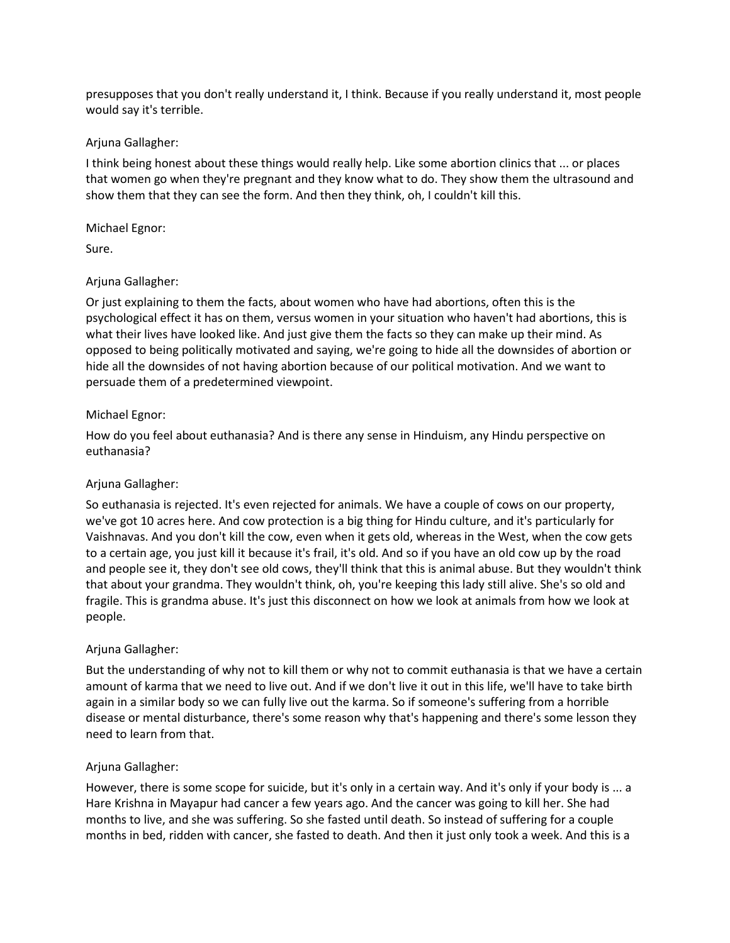presupposes that you don't really understand it, I think. Because if you really understand it, most people would say it's terrible.

### Arjuna Gallagher:

I think being honest about these things would really help. Like some abortion clinics that ... or places that women go when they're pregnant and they know what to do. They show them the ultrasound and show them that they can see the form. And then they think, oh, I couldn't kill this.

# Michael Egnor:

Sure.

# Arjuna Gallagher:

Or just explaining to them the facts, about women who have had abortions, often this is the psychological effect it has on them, versus women in your situation who haven't had abortions, this is what their lives have looked like. And just give them the facts so they can make up their mind. As opposed to being politically motivated and saying, we're going to hide all the downsides of abortion or hide all the downsides of not having abortion because of our political motivation. And we want to persuade them of a predetermined viewpoint.

# Michael Egnor:

How do you feel about euthanasia? And is there any sense in Hinduism, any Hindu perspective on euthanasia?

# Arjuna Gallagher:

So euthanasia is rejected. It's even rejected for animals. We have a couple of cows on our property, we've got 10 acres here. And cow protection is a big thing for Hindu culture, and it's particularly for Vaishnavas. And you don't kill the cow, even when it gets old, whereas in the West, when the cow gets to a certain age, you just kill it because it's frail, it's old. And so if you have an old cow up by the road and people see it, they don't see old cows, they'll think that this is animal abuse. But they wouldn't think that about your grandma. They wouldn't think, oh, you're keeping this lady still alive. She's so old and fragile. This is grandma abuse. It's just this disconnect on how we look at animals from how we look at people.

### Arjuna Gallagher:

But the understanding of why not to kill them or why not to commit euthanasia is that we have a certain amount of karma that we need to live out. And if we don't live it out in this life, we'll have to take birth again in a similar body so we can fully live out the karma. So if someone's suffering from a horrible disease or mental disturbance, there's some reason why that's happening and there's some lesson they need to learn from that.

### Arjuna Gallagher:

However, there is some scope for suicide, but it's only in a certain way. And it's only if your body is ... a Hare Krishna in Mayapur had cancer a few years ago. And the cancer was going to kill her. She had months to live, and she was suffering. So she fasted until death. So instead of suffering for a couple months in bed, ridden with cancer, she fasted to death. And then it just only took a week. And this is a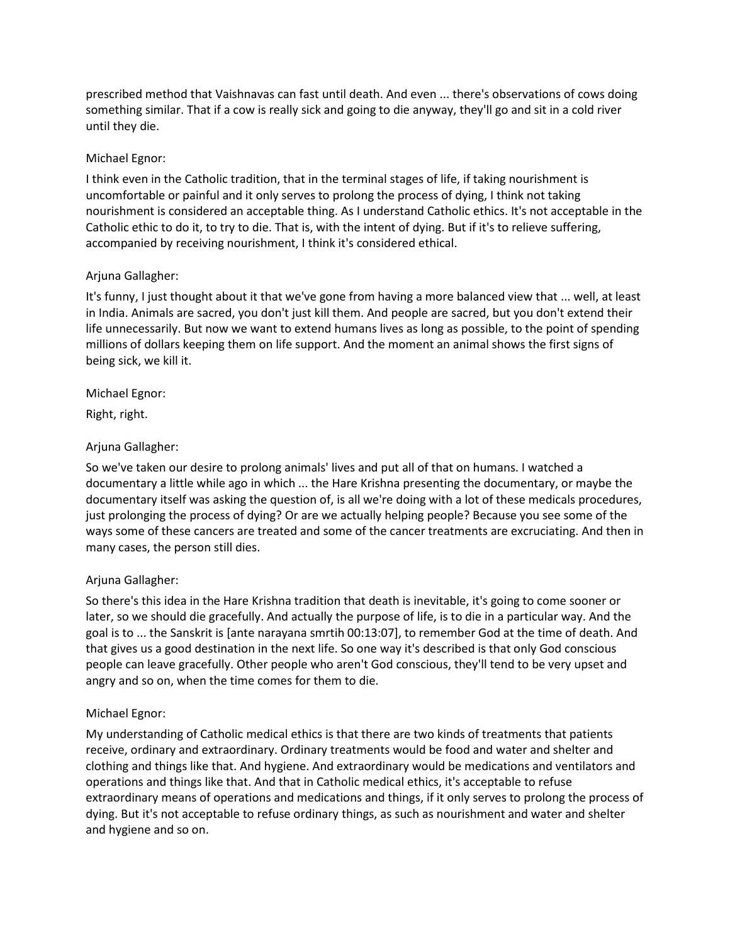prescribed method that Vaishnavas can fast until death. And even ... there's observations of cows doing something similar. That if a cow is really sick and going to die anyway, they'll go and sit in a cold river until they die.

# Michael Egnor:

I think even in the Catholic tradition, that in the terminal stages of life, if taking nourishment is uncomfortable or painful and it only serves to prolong the process of dying, I think not taking nourishment is considered an acceptable thing. As I understand Catholic ethics. It's not acceptable in the Catholic ethic to do it, to try to die. That is, with the intent of dying. But if it's to relieve suffering, accompanied by receiving nourishment, I think it's considered ethical.

# Arjuna Gallagher:

It's funny, I just thought about it that we've gone from having a more balanced view that ... well, at least in India. Animals are sacred, you don't just kill them. And people are sacred, but you don't extend their life unnecessarily. But now we want to extend humans lives as long as possible, to the point of spending millions of dollars keeping them on life support. And the moment an animal shows the first signs of being sick, we kill it.

# Michael Egnor:

Right, right.

# Arjuna Gallagher:

So we've taken our desire to prolong animals' lives and put all of that on humans. I watched a documentary a little while ago in which ... the Hare Krishna presenting the documentary, or maybe the documentary itself was asking the question of, is all we're doing with a lot of these medicals procedures, just prolonging the process of dying? Or are we actually helping people? Because you see some of the ways some of these cancers are treated and some of the cancer treatments are excruciating. And then in many cases, the person still dies.

# Arjuna Gallagher:

So there's this idea in the Hare Krishna tradition that death is inevitable, it's going to come sooner or later, so we should die gracefully. And actually the purpose of life, is to die in a particular way. And the goal is to ... the Sanskrit is [ante narayana smrtih 00:13:07], to remember God at the time of death. And that gives us a good destination in the next life. So one way it's described is that only God conscious people can leave gracefully. Other people who aren't God conscious, they'll tend to be very upset and angry and so on, when the time comes for them to die.

### Michael Egnor:

My understanding of Catholic medical ethics is that there are two kinds of treatments that patients receive, ordinary and extraordinary. Ordinary treatments would be food and water and shelter and clothing and things like that. And hygiene. And extraordinary would be medications and ventilators and operations and things like that. And that in Catholic medical ethics, it's acceptable to refuse extraordinary means of operations and medications and things, if it only serves to prolong the process of dying. But it's not acceptable to refuse ordinary things, as such as nourishment and water and shelter and hygiene and so on.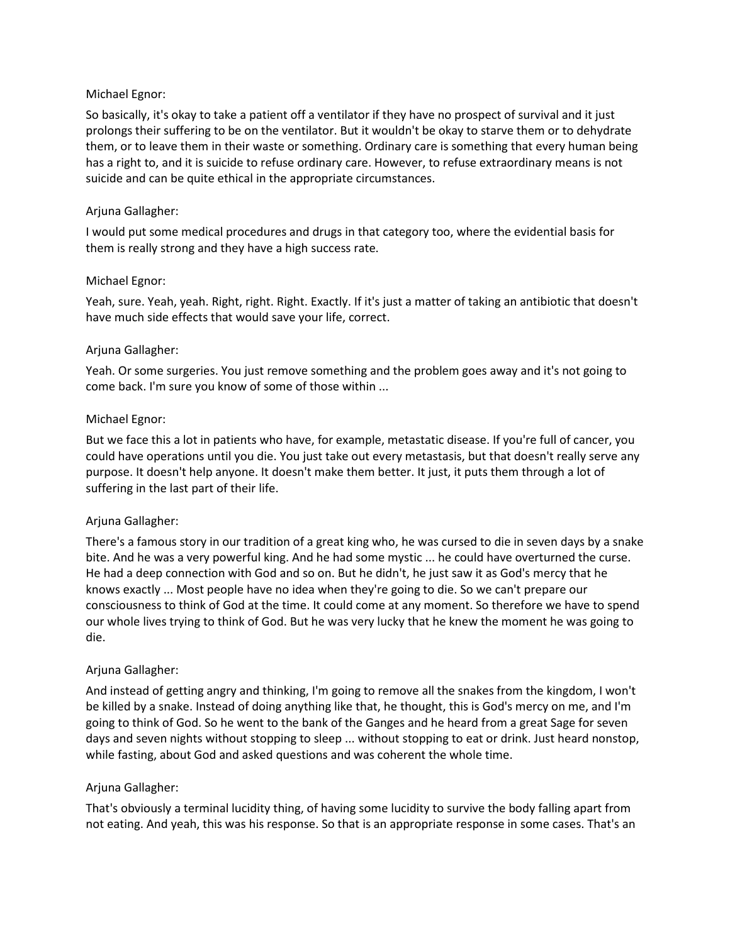### Michael Egnor:

So basically, it's okay to take a patient off a ventilator if they have no prospect of survival and it just prolongs their suffering to be on the ventilator. But it wouldn't be okay to starve them or to dehydrate them, or to leave them in their waste or something. Ordinary care is something that every human being has a right to, and it is suicide to refuse ordinary care. However, to refuse extraordinary means is not suicide and can be quite ethical in the appropriate circumstances.

### Arjuna Gallagher:

I would put some medical procedures and drugs in that category too, where the evidential basis for them is really strong and they have a high success rate.

#### Michael Egnor:

Yeah, sure. Yeah, yeah. Right, right. Right. Exactly. If it's just a matter of taking an antibiotic that doesn't have much side effects that would save your life, correct.

#### Arjuna Gallagher:

Yeah. Or some surgeries. You just remove something and the problem goes away and it's not going to come back. I'm sure you know of some of those within ...

#### Michael Egnor:

But we face this a lot in patients who have, for example, metastatic disease. If you're full of cancer, you could have operations until you die. You just take out every metastasis, but that doesn't really serve any purpose. It doesn't help anyone. It doesn't make them better. It just, it puts them through a lot of suffering in the last part of their life.

### Arjuna Gallagher:

There's a famous story in our tradition of a great king who, he was cursed to die in seven days by a snake bite. And he was a very powerful king. And he had some mystic ... he could have overturned the curse. He had a deep connection with God and so on. But he didn't, he just saw it as God's mercy that he knows exactly ... Most people have no idea when they're going to die. So we can't prepare our consciousness to think of God at the time. It could come at any moment. So therefore we have to spend our whole lives trying to think of God. But he was very lucky that he knew the moment he was going to die.

### Arjuna Gallagher:

And instead of getting angry and thinking, I'm going to remove all the snakes from the kingdom, I won't be killed by a snake. Instead of doing anything like that, he thought, this is God's mercy on me, and I'm going to think of God. So he went to the bank of the Ganges and he heard from a great Sage for seven days and seven nights without stopping to sleep ... without stopping to eat or drink. Just heard nonstop, while fasting, about God and asked questions and was coherent the whole time.

#### Arjuna Gallagher:

That's obviously a terminal lucidity thing, of having some lucidity to survive the body falling apart from not eating. And yeah, this was his response. So that is an appropriate response in some cases. That's an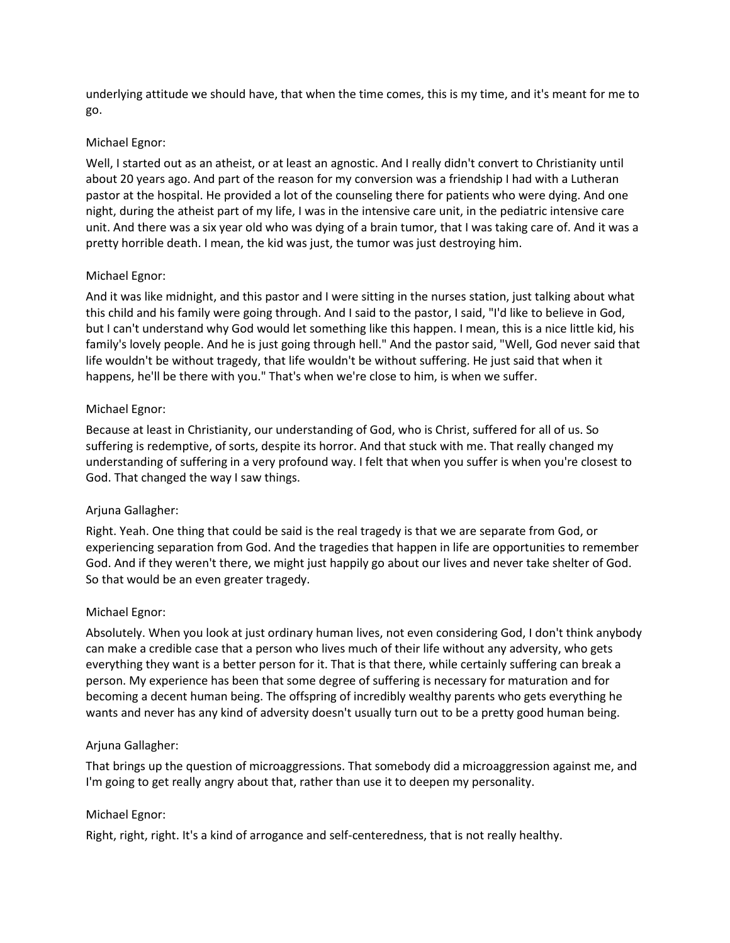underlying attitude we should have, that when the time comes, this is my time, and it's meant for me to go.

#### Michael Egnor:

Well, I started out as an atheist, or at least an agnostic. And I really didn't convert to Christianity until about 20 years ago. And part of the reason for my conversion was a friendship I had with a Lutheran pastor at the hospital. He provided a lot of the counseling there for patients who were dying. And one night, during the atheist part of my life, I was in the intensive care unit, in the pediatric intensive care unit. And there was a six year old who was dying of a brain tumor, that I was taking care of. And it was a pretty horrible death. I mean, the kid was just, the tumor was just destroying him.

### Michael Egnor:

And it was like midnight, and this pastor and I were sitting in the nurses station, just talking about what this child and his family were going through. And I said to the pastor, I said, "I'd like to believe in God, but I can't understand why God would let something like this happen. I mean, this is a nice little kid, his family's lovely people. And he is just going through hell." And the pastor said, "Well, God never said that life wouldn't be without tragedy, that life wouldn't be without suffering. He just said that when it happens, he'll be there with you." That's when we're close to him, is when we suffer.

### Michael Egnor:

Because at least in Christianity, our understanding of God, who is Christ, suffered for all of us. So suffering is redemptive, of sorts, despite its horror. And that stuck with me. That really changed my understanding of suffering in a very profound way. I felt that when you suffer is when you're closest to God. That changed the way I saw things.

### Arjuna Gallagher:

Right. Yeah. One thing that could be said is the real tragedy is that we are separate from God, or experiencing separation from God. And the tragedies that happen in life are opportunities to remember God. And if they weren't there, we might just happily go about our lives and never take shelter of God. So that would be an even greater tragedy.

#### Michael Egnor:

Absolutely. When you look at just ordinary human lives, not even considering God, I don't think anybody can make a credible case that a person who lives much of their life without any adversity, who gets everything they want is a better person for it. That is that there, while certainly suffering can break a person. My experience has been that some degree of suffering is necessary for maturation and for becoming a decent human being. The offspring of incredibly wealthy parents who gets everything he wants and never has any kind of adversity doesn't usually turn out to be a pretty good human being.

#### Arjuna Gallagher:

That brings up the question of microaggressions. That somebody did a microaggression against me, and I'm going to get really angry about that, rather than use it to deepen my personality.

### Michael Egnor:

Right, right, right. It's a kind of arrogance and self-centeredness, that is not really healthy.